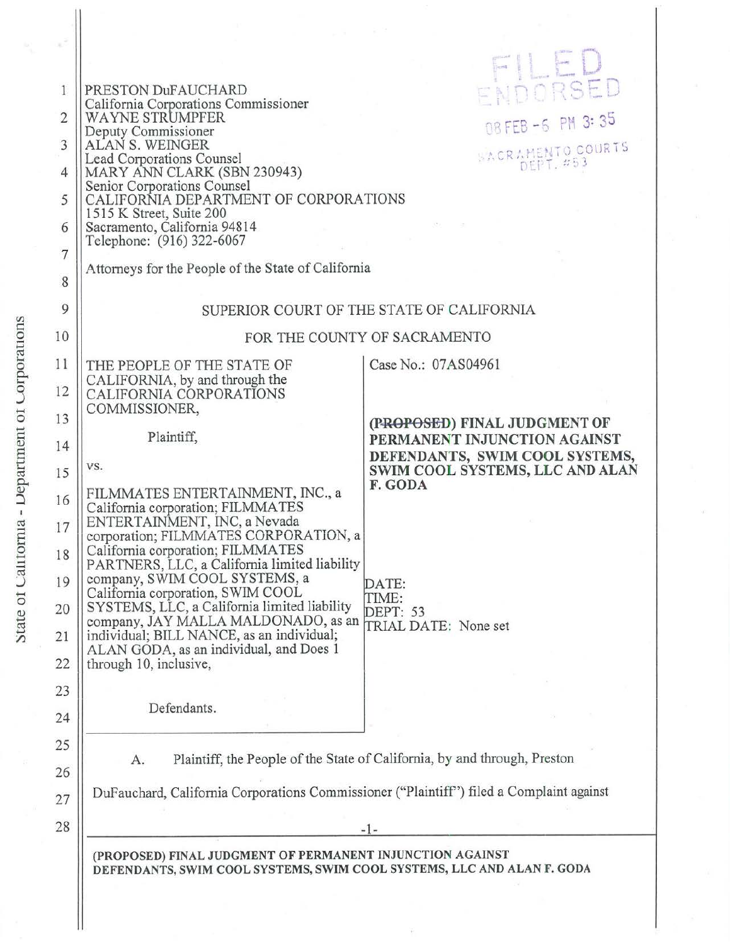| 1              | PRESTON DuFAUCHARD                                                                                                                  | ENDORSED                                                       |  |
|----------------|-------------------------------------------------------------------------------------------------------------------------------------|----------------------------------------------------------------|--|
| $\overline{2}$ | California Corporations Commissioner<br>WAYNE STRUMPFER                                                                             | 08 FEB -6 PM 3:35                                              |  |
| 3              | Deputy Commissioner<br>ALAN S. WEINGER                                                                                              |                                                                |  |
| 4              | SACRAMENTO COURTS<br>Lead Corporations Counsel<br>MARY ANN CLARK (SBN 230943)                                                       |                                                                |  |
| 5              | Senior Corporations Counsel<br>CALIFORNIA DEPARTMENT OF CORPORATIONS                                                                |                                                                |  |
| 6              | 1515 K Street, Suite 200<br>Sacramento, California 94814                                                                            |                                                                |  |
| $\overline{7}$ | Telephone: (916) 322-6067                                                                                                           |                                                                |  |
| 8              | Attorneys for the People of the State of California                                                                                 |                                                                |  |
| 9              | SUPERIOR COURT OF THE STATE OF CALIFORNIA                                                                                           |                                                                |  |
| 10             | FOR THE COUNTY OF SACRAMENTO                                                                                                        |                                                                |  |
| 11             | THE PEOPLE OF THE STATE OF                                                                                                          | Case No.: 07AS04961                                            |  |
| 12             | CALIFORNIA, by and through the<br>CALIFORNIA CORPORATIONS<br>COMMISSIONER,                                                          |                                                                |  |
| 13             | Plaintiff,                                                                                                                          | (PROPOSED) FINAL JUDGMENT OF                                   |  |
| 14             |                                                                                                                                     | PERMANENT INJUNCTION AGAINST<br>DEFENDANTS, SWIM COOL SYSTEMS, |  |
| 15             | VS.                                                                                                                                 | SWIM COOL SYSTEMS, LLC AND ALAN<br>F. GODA                     |  |
| 16             | FILMMATES ENTERTAINMENT, INC., a<br>California corporation; FILMMATES                                                               |                                                                |  |
| 17             | ENTERTAINMENT, INC, a Nevada<br>corporation; FILMMATES CORPORATION, a                                                               |                                                                |  |
| 18             | California corporation; FILMMATES<br>PARTNERS, LLC, a California limited liability                                                  |                                                                |  |
| 19             | company, SWIM COOL SYSTEMS, a<br>California corporation, SWIM COOL                                                                  | DATE:<br>TIME:                                                 |  |
| 20             | SYSTEMS, LLC, a California limited liability<br>company, JAY MALLA MALDONADO, as an                                                 | <b>DEPT: 53</b><br>TRIAL DATE: None set                        |  |
| 21             | individual; BILL NANCE, as an individual;<br>ALAN GODA, as an individual, and Does 1                                                |                                                                |  |
| 22             | through 10, inclusive,                                                                                                              |                                                                |  |
| 23             | Defendants.                                                                                                                         |                                                                |  |
| 24             |                                                                                                                                     |                                                                |  |
| 25             | Plaintiff, the People of the State of California, by and through, Preston<br>А.                                                     |                                                                |  |
| 26             | DuFauchard, California Corporations Commissioner ("Plaintiff") filed a Complaint against                                            |                                                                |  |
| 27             |                                                                                                                                     |                                                                |  |
| 28             | $-1-$                                                                                                                               |                                                                |  |
|                | (PROPOSED) FINAL JUDGMENT OF PERMANENT INJUNCTION AGAINST<br>DEFENDANTS, SWIM COOL SYSTEMS, SWIM COOL SYSTEMS, LLC AND ALAN F. GODA |                                                                |  |
|                |                                                                                                                                     |                                                                |  |
|                |                                                                                                                                     |                                                                |  |
|                |                                                                                                                                     |                                                                |  |

 $\widetilde{\gamma}$ 

**Corporations**  $\overline{10}$ **L**epartmen L'alifornia  $\overline{0}$  $\mathbf{e}$  $\mathfrak{a}$ 

r.J

ay.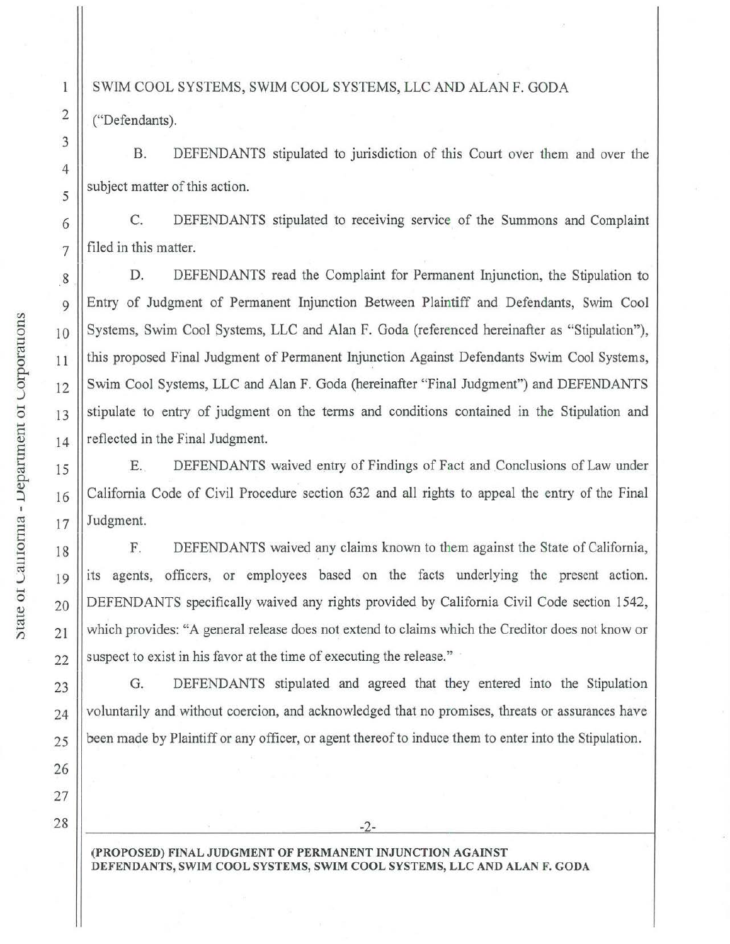## SWIM COOL SYSTEMS, SWIM COOL SYSTEMS, LLC AND ALAN F. GODA

("Defendants).

1

2

3

4

5

6

7

8

9

10

11

12

13

14

15

16

17

18

19

20

21

22

23

24

25

26

27

28

B. DEFENDANTS stipulated to jurisdiction of this Court over them and over the subject matter of this action.

C. DEFENDANTS stipulated to receiving service of the Summons and Complaint filed in this matter.

 $\overline{\phantom{a}}$ D. DEFENDANTS read the Complaint for Permanent Injunction, the Stipulation to Entry of Judgment of Permanent Injunction Between Plaintiff and Defendants, Swim Cool Systems, Swim Cool Systems, LLC and Alan F. Goda (referenced hereinafter as "Stipulation"), this proposed Final Judgment of Permanent Injunction Against Defendants Swim Cool Systems, Swim Cool Systems, LLC and Alan F. Goda (hereinafter "Final Judgment") and DEFENDANTS stipulate to entry of judgment on the terms and conditions contained in the Stipulation and reflected in the Final Judgment.

E. \_ DEFENDANTS waived entry of Findings of Fact and Conclusions of Law under California Code of Civil Procedure section 632 and all rights to appeal the entry of the Final Judgment.

F. DEFENDANTS waived any claims known to them against the State of California, its agents, officers, or employees based on the facts underlying the present action. DEFENDANTS specifically waived any rights provided by California Civil Code section 1542, which provides: "A general release does not extend to claims which the Creditor does not know or suspect to exist in his favor at the time of executing the release."

G. DEFENDANTS stipulated and agreed that they entered into the Stipulation voluntarily and without coercion, and acknowledged that no promises, threats or assurances have been made by Plaintiff or any officer, or agent thereof to induce them to enter into the Stipulation.

-2-

**(PROPOSED) FINAL JUDGMENT OF PERMANENT INJUNCTION AGAINST DEFENDANTS, SWIM COOL SYSTEMS, SWIM COOL SYSTEMS, LLC AND ALAN F. GODA**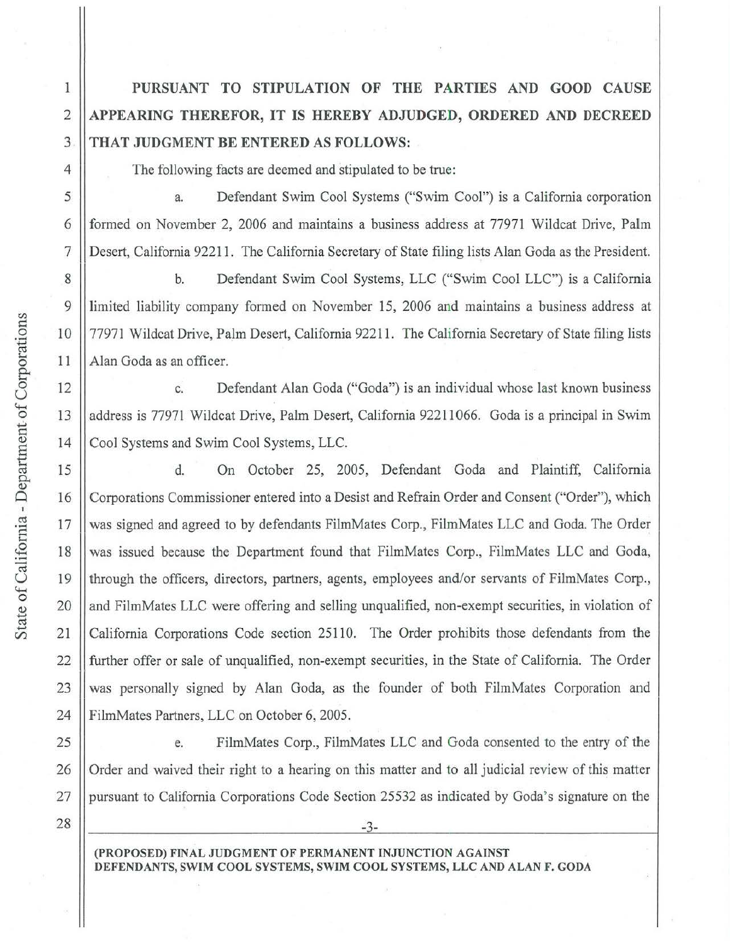**PURSUANT TO STIPULATION OF THE PARTIES AND GOOD CAUSE APPEARING THEREFOR, IT IS HEREBY ADJUDGED, ORDERED AND DECREED THAT JUDGMENT BE ENTERED AS FOLLOWS:** 

The following facts are deemed and stipulated to be true:

a. Defendant Swim Cool Systems ("Swim Cool") is a California corporation formed on November 2, 2006 and maintains a business address at 77971 Wildcat Drive, Palm Desert, California 92211. The California Secretary of State filing lists Alan Goda as the President.

b. Defendant Swim Cool Systems, LLC ("Swim Cool LLC") is a California limited liability company formed on November 15, 2006 and maintains a business address at 77971 Wildcat Drive, Palm Desert, California 92211. The California Secretary of State filing lists Alan Goda as an officer.

c. Defendant Alan Goda ("Goda") is an individual whose last known business address is 77971 Wildcat Drive, Palm Desert, California 92211066. Goda is a principal in Swim Cool Systems and Swim Cool Systems, LLC.

d. On October 25, 2005, Defendant Goda and Plaintiff, California Corporations Commissioner entered into a Desist and Refrain Order and Consent ("Order"), which was signed and agreed to by defendants FilmMates Corp., FilmMates LLC and Goda. The Order was issued because the Department found that FilmMates Corp., FilmMates LLC and Goda, through the officers, directors, partners, agents, employees and/or servants of FilmMates Corp., and FilmMates LLC were offering and selling unqualified, non-exempt securities, in violation of California Corporations Code section 25110. The Order prohibits those defendants from the further offer or sale of unqualified, non-exempt securities, in the State of California. The Order was personally signed by Alan Goda, as the founder of both FilmMates Corporation and FilmMates Partners, LLC on October 6, 2005.

e. FilmMates Corp., FilmMates LLC and Goda consented to the entry of the Order and waived their right to a hearing on this matter and to all judicial review of this matter pursuant to California Corporations Code Section 25532 as indicated by Goda's signature on the

-3-

27 28

> **(PROPOSED) FINAL JUDGMENT OF PERMANENT INJUNCTION AGAINST DEFENDANTS, SWIM COOL SYSTEMS, SWIM COOL SYSTEMS, LLC AND ALAN F. GODA**

1

2

3

4

5

6

7

8

9

10

11

12

13

14

15

16

17

18

19

20

21

22

23

24

25

26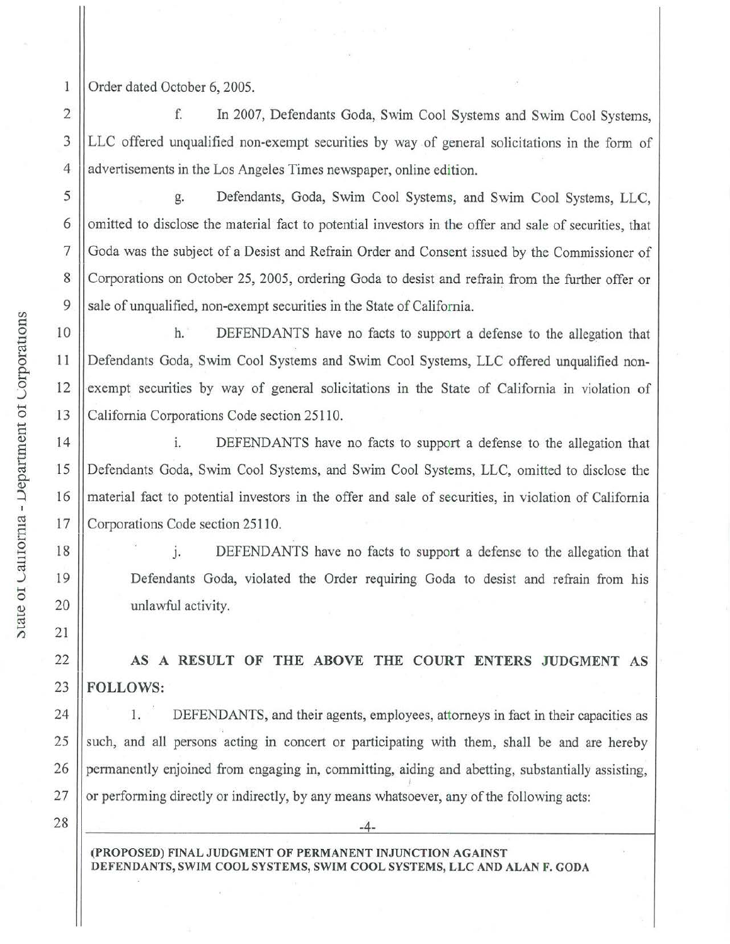Order dated October 6, 2005.

f. In 2007, Defendants Goda, Swim Cool Systems and Swim Cool Systems, LLC offered unqualified non-exempt securities by way of general solicitations in the form of advertisements in the Los Angeles Times newspaper, online edition.

g. Defendants, Goda, Swim Cool Systems, and Swim Cool Systems, LLC, omitted to disclose the material fact to potential investors in the offer and sale of securities, that Goda was the subject of a Desist and Refrain Order and Consent issued by the Commissioner of Corporations on October 25, 2005, ordering Goda to desist and refrain from the further offer or sale of unqualified, non-exempt securities in the State of California.

h. DEFENDANTS have no facts to support a defense to the allegation that Defendants Goda, Swim Cool Systems and Swim Cool Systems, LLC offered unqualified nonexempt securities by way of general solicitations in the State of California in violation of California Corporations Code section 25110.

1. DEFENDANTS have no facts to support a defense to the allegation that Defendants Goda, Swim Cool Systems, and Swim Cool Systems, LLC, omitted to disclose the material fact to potential investors in the offer and sale of securities, in violation of California Corporations Code section 25110.

J. DEFENDANTS have no facts to support a defense to the allegation that Defendants Goda, violated the Order requiring Goda to desist and refrain from his unlawful activity.

**AS A RESULT OF THE ABOVE THE COURT ENTERS JUDGMENT AS FOLLOWS:** 

1. DEFENDANTS, and their agents, employees, attorneys in fact in their capacities as such, and all persons acting **in** concert or participating with them, shall be and are hereby pennanently enjoined from engaging in, committing, aiding and abetting, substantially assisting, or performing directly or indirectly, by any means whatsoever, any ofthe following acts:

28

25

26

27

24

-4-

**(PROPOSED) FINAL JUDGMENT OF PERMANENT INJUNCTION AGAINST DEFENDANTS, SWIM COOL SYSTEMS, SWIM COOL SYSTEMS, LLC AND ALAN F. GODA** 

5

6

7

8

9

4

2

 $\,$  1

3

10

0 11

15

<sup>~</sup>16

20

*r.i* 21

22

23